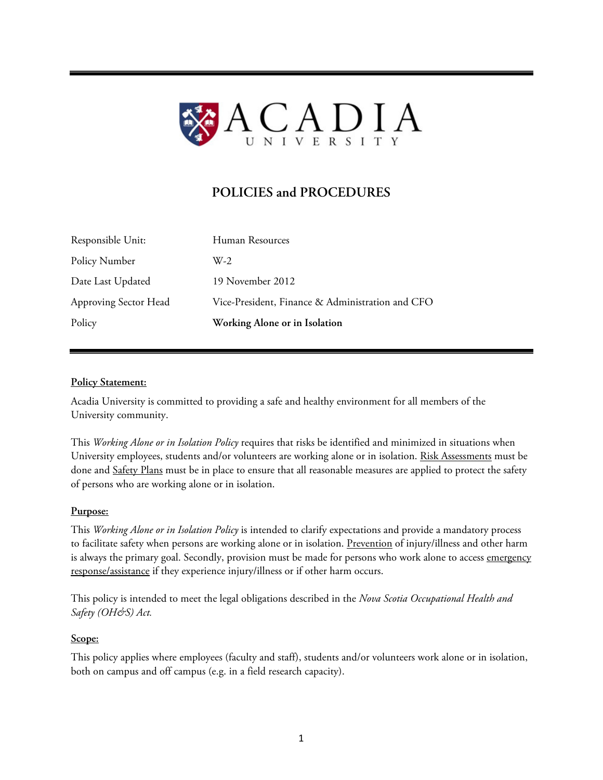

# **POLICIES and PROCEDURES**

| Policy                | Working Alone or in Isolation                    |
|-----------------------|--------------------------------------------------|
| Approving Sector Head | Vice-President, Finance & Administration and CFO |
| Date Last Updated     | 19 November 2012                                 |
| Policy Number         | $W-2$                                            |
| Responsible Unit:     | Human Resources                                  |

# **Policy Statement:**

Acadia University is committed to providing a safe and healthy environment for all members of the University community.

This *Working Alone or in Isolation Policy* requires that risks be identified and minimized in situations when University employees, students and/or volunteers are working alone or in isolation. Risk Assessments must be done and Safety Plans must be in place to ensure that all reasonable measures are applied to protect the safety of persons who are working alone or in isolation.

#### **Purpose:**

This *Working Alone or in Isolation Policy* is intended to clarify expectations and provide a mandatory process to facilitate safety when persons are working alone or in isolation. Prevention of injury/illness and other harm is always the primary goal. Secondly, provision must be made for persons who work alone to access emergency response/assistance if they experience injury/illness or if other harm occurs.

This policy is intended to meet the legal obligations described in the *Nova Scotia Occupational Health and Safety (OH&S) Act.* 

#### **Scope:**

This policy applies where employees (faculty and staff), students and/or volunteers work alone or in isolation, both on campus and off campus (e.g. in a field research capacity).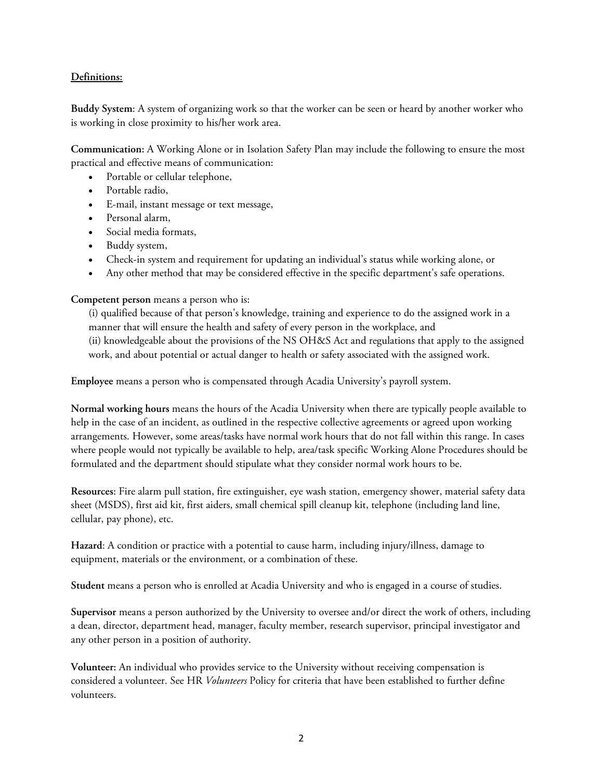### **Definitions:**

**Buddy System**: A system of organizing work so that the worker can be seen or heard by another worker who is working in close proximity to his/her work area.

**Communication:** A Working Alone or in Isolation Safety Plan may include the following to ensure the most practical and effective means of communication:

- Portable or cellular telephone,
- Portable radio,
- E-mail, instant message or text message,
- Personal alarm,
- Social media formats,
- Buddy system,
- Check-in system and requirement for updating an individual's status while working alone, or
- Any other method that may be considered effective in the specific department's safe operations.

**Competent person** means a person who is:

(i) qualified because of that person's knowledge, training and experience to do the assigned work in a manner that will ensure the health and safety of every person in the workplace, and (ii) knowledgeable about the provisions of the NS OH&S Act and regulations that apply to the assigned work, and about potential or actual danger to health or safety associated with the assigned work.

**Employee** means a person who is compensated through Acadia University's payroll system.

**Normal working hours** means the hours of the Acadia University when there are typically people available to help in the case of an incident, as outlined in the respective collective agreements or agreed upon working arrangements. However, some areas/tasks have normal work hours that do not fall within this range. In cases where people would not typically be available to help, area/task specific Working Alone Procedures should be formulated and the department should stipulate what they consider normal work hours to be.

**Resources**: Fire alarm pull station, fire extinguisher, eye wash station, emergency shower, material safety data sheet (MSDS), first aid kit, first aiders, small chemical spill cleanup kit, telephone (including land line, cellular, pay phone), etc.

**Hazard**: A condition or practice with a potential to cause harm, including injury/illness, damage to equipment, materials or the environment, or a combination of these.

**Student** means a person who is enrolled at Acadia University and who is engaged in a course of studies.

**Supervisor** means a person authorized by the University to oversee and/or direct the work of others, including a dean, director, department head, manager, faculty member, research supervisor, principal investigator and any other person in a position of authority.

**Volunteer:** An individual who provides service to the University without receiving compensation is considered a volunteer. See HR *Volunteers* Policy for criteria that have been established to further define volunteers.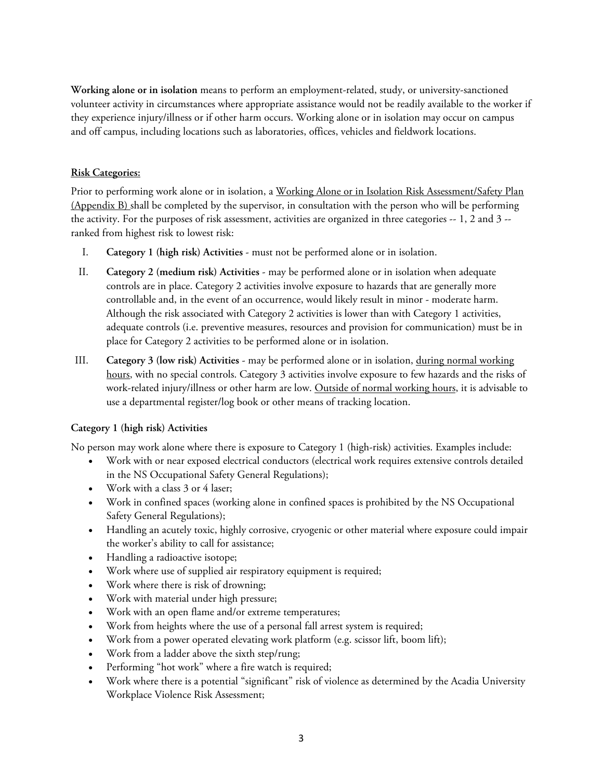**Working alone or in isolation** means to perform an employment-related, study, or university-sanctioned volunteer activity in circumstances where appropriate assistance would not be readily available to the worker if they experience injury/illness or if other harm occurs. Working alone or in isolation may occur on campus and off campus, including locations such as laboratories, offices, vehicles and fieldwork locations.

# **Risk Categories:**

Prior to performing work alone or in isolation, a Working Alone or in Isolation Risk Assessment/Safety Plan (Appendix B) shall be completed by the supervisor, in consultation with the person who will be performing the activity. For the purposes of risk assessment, activities are organized in three categories -- 1, 2 and 3 - ranked from highest risk to lowest risk:

- I. **Category 1 (high risk) Activities** must not be performed alone or in isolation.
- II. **Category 2 (medium risk) Activities** may be performed alone or in isolation when adequate controls are in place. Category 2 activities involve exposure to hazards that are generally more controllable and, in the event of an occurrence, would likely result in minor - moderate harm. Although the risk associated with Category 2 activities is lower than with Category 1 activities, adequate controls (i.e. preventive measures, resources and provision for communication) must be in place for Category 2 activities to be performed alone or in isolation.
- III. **Category 3 (low risk) Activities** may be performed alone or in isolation, during normal working hours, with no special controls. Category 3 activities involve exposure to few hazards and the risks of work-related injury/illness or other harm are low. Outside of normal working hours, it is advisable to use a departmental register/log book or other means of tracking location.

# **Category 1 (high risk) Activities**

No person may work alone where there is exposure to Category 1 (high-risk) activities. Examples include:

- Work with or near exposed electrical conductors (electrical work requires extensive controls detailed in the NS Occupational Safety General Regulations);
- Work with a class 3 or 4 laser;
- Work in confined spaces (working alone in confined spaces is prohibited by the NS Occupational Safety General Regulations);
- Handling an acutely toxic, highly corrosive, cryogenic or other material where exposure could impair the worker's ability to call for assistance;
- Handling a radioactive isotope;
- Work where use of supplied air respiratory equipment is required;
- Work where there is risk of drowning;
- Work with material under high pressure;
- Work with an open flame and/or extreme temperatures;
- Work from heights where the use of a personal fall arrest system is required;
- Work from a power operated elevating work platform (e.g. scissor lift, boom lift);
- Work from a ladder above the sixth step/rung;
- Performing "hot work" where a fire watch is required;
- Work where there is a potential "significant" risk of violence as determined by the Acadia University Workplace Violence Risk Assessment;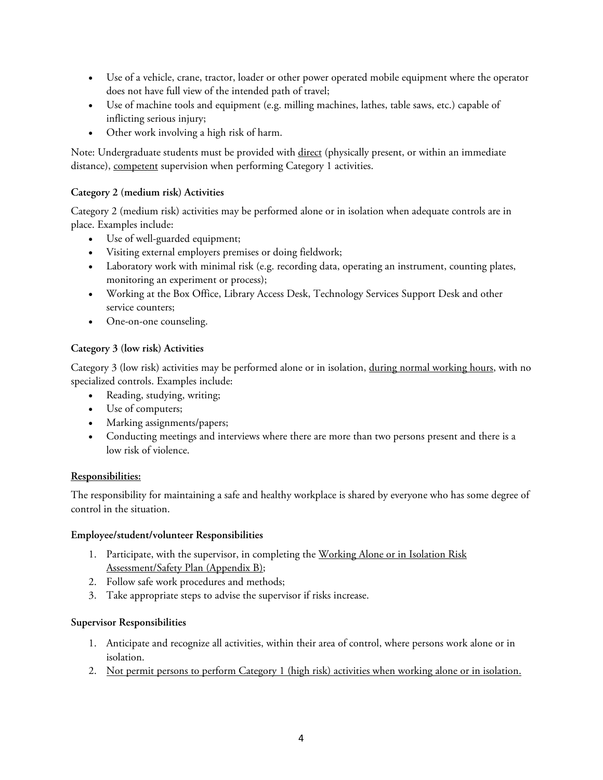- Use of a vehicle, crane, tractor, loader or other power operated mobile equipment where the operator does not have full view of the intended path of travel;
- Use of machine tools and equipment (e.g. milling machines, lathes, table saws, etc.) capable of inflicting serious injury;
- Other work involving a high risk of harm.

Note: Undergraduate students must be provided with direct (physically present, or within an immediate distance), competent supervision when performing Category 1 activities.

# **Category 2 (medium risk) Activities**

Category 2 (medium risk) activities may be performed alone or in isolation when adequate controls are in place. Examples include:

- Use of well-guarded equipment;
- Visiting external employers premises or doing fieldwork;
- Laboratory work with minimal risk (e.g. recording data, operating an instrument, counting plates, monitoring an experiment or process);
- Working at the Box Office, Library Access Desk, Technology Services Support Desk and other service counters;
- One-on-one counseling.

# **Category 3 (low risk) Activities**

Category 3 (low risk) activities may be performed alone or in isolation, during normal working hours, with no specialized controls. Examples include:

- Reading, studying, writing;
- Use of computers;
- Marking assignments/papers;
- Conducting meetings and interviews where there are more than two persons present and there is a low risk of violence.

# **Responsibilities:**

The responsibility for maintaining a safe and healthy workplace is shared by everyone who has some degree of control in the situation.

# **Employee/student/volunteer Responsibilities**

- 1. Participate, with the supervisor, in completing the Working Alone or in Isolation Risk Assessment/Safety Plan (Appendix B);
- 2. Follow safe work procedures and methods;
- 3. Take appropriate steps to advise the supervisor if risks increase.

# **Supervisor Responsibilities**

- 1. Anticipate and recognize all activities, within their area of control, where persons work alone or in isolation.
- 2. Not permit persons to perform Category 1 (high risk) activities when working alone or in isolation.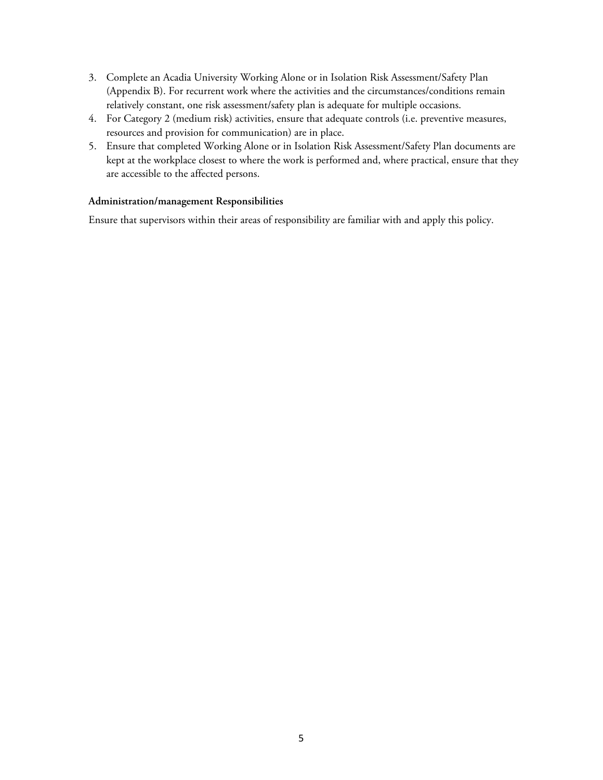- 3. Complete an Acadia University Working Alone or in Isolation Risk Assessment/Safety Plan (Appendix B). For recurrent work where the activities and the circumstances/conditions remain relatively constant, one risk assessment/safety plan is adequate for multiple occasions.
- 4. For Category 2 (medium risk) activities, ensure that adequate controls (i.e. preventive measures, resources and provision for communication) are in place.
- 5. Ensure that completed Working Alone or in Isolation Risk Assessment/Safety Plan documents are kept at the workplace closest to where the work is performed and, where practical, ensure that they are accessible to the affected persons.

#### **Administration/management Responsibilities**

Ensure that supervisors within their areas of responsibility are familiar with and apply this policy.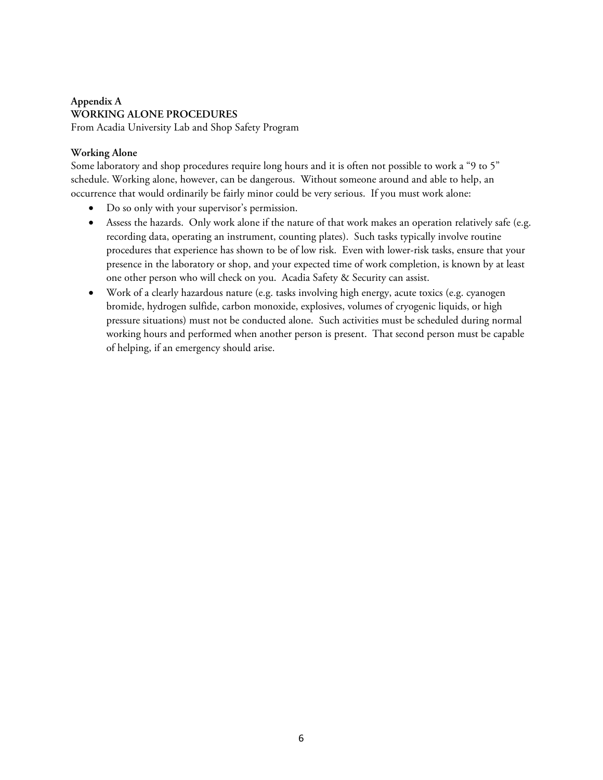# **Appendix A WORKING ALONE PROCEDURES**

From Acadia University Lab and Shop Safety Program

# **Working Alone**

Some laboratory and shop procedures require long hours and it is often not possible to work a "9 to 5" schedule. Working alone, however, can be dangerous. Without someone around and able to help, an occurrence that would ordinarily be fairly minor could be very serious. If you must work alone:

- Do so only with your supervisor's permission.
- Assess the hazards. Only work alone if the nature of that work makes an operation relatively safe (e.g. recording data, operating an instrument, counting plates). Such tasks typically involve routine procedures that experience has shown to be of low risk. Even with lower-risk tasks, ensure that your presence in the laboratory or shop, and your expected time of work completion, is known by at least one other person who will check on you. Acadia Safety & Security can assist.
- Work of a clearly hazardous nature (e.g. tasks involving high energy, acute toxics (e.g. cyanogen bromide, hydrogen sulfide, carbon monoxide, explosives, volumes of cryogenic liquids, or high pressure situations) must not be conducted alone. Such activities must be scheduled during normal working hours and performed when another person is present. That second person must be capable of helping, if an emergency should arise.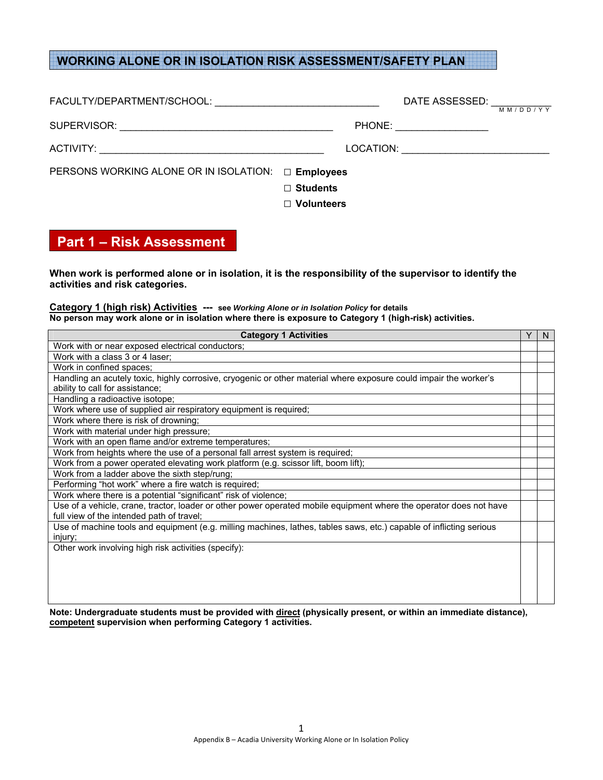# **WORKING ALONE OR IN ISOLATION RISK ASSESSMENT/SAFETY PLAN**

|                                        |                   | DATE ASSESSED: ____________ | MM/DD/YY |
|----------------------------------------|-------------------|-----------------------------|----------|
|                                        |                   | PHONE: ____________________ |          |
|                                        |                   |                             |          |
| PERSONS WORKING ALONE OR IN ISOLATION: | $\Box$ Employees  |                             |          |
|                                        | $\Box$ Students   |                             |          |
|                                        | $\Box$ Volunteers |                             |          |

# **Part 1 – Risk Assessment**

 $\mathcal{L}$ 

**When work is performed alone or in isolation, it is the responsibility of the supervisor to identify the activities and risk categories.** 

#### **Category 1 (high risk) Activities --- see** *Working Alone or in Isolation Policy* **for details No person may work alone or in isolation where there is exposure to Category 1 (high-risk) activities.**

| <b>Category 1 Activities</b>                                                                                        | Υ | N. |
|---------------------------------------------------------------------------------------------------------------------|---|----|
| Work with or near exposed electrical conductors;                                                                    |   |    |
| Work with a class 3 or 4 laser;                                                                                     |   |    |
| Work in confined spaces;                                                                                            |   |    |
| Handling an acutely toxic, highly corrosive, cryogenic or other material where exposure could impair the worker's   |   |    |
| ability to call for assistance;                                                                                     |   |    |
| Handling a radioactive isotope;                                                                                     |   |    |
| Work where use of supplied air respiratory equipment is required;                                                   |   |    |
| Work where there is risk of drowning;                                                                               |   |    |
| Work with material under high pressure;                                                                             |   |    |
| Work with an open flame and/or extreme temperatures;                                                                |   |    |
| Work from heights where the use of a personal fall arrest system is required;                                       |   |    |
| Work from a power operated elevating work platform (e.g. scissor lift, boom lift);                                  |   |    |
| Work from a ladder above the sixth step/rung;                                                                       |   |    |
| Performing "hot work" where a fire watch is required;                                                               |   |    |
| Work where there is a potential "significant" risk of violence;                                                     |   |    |
| Use of a vehicle, crane, tractor, loader or other power operated mobile equipment where the operator does not have  |   |    |
| full view of the intended path of travel;                                                                           |   |    |
| Use of machine tools and equipment (e.g. milling machines, lathes, tables saws, etc.) capable of inflicting serious |   |    |
| injury;                                                                                                             |   |    |
| Other work involving high risk activities (specify):                                                                |   |    |
|                                                                                                                     |   |    |
|                                                                                                                     |   |    |
|                                                                                                                     |   |    |
|                                                                                                                     |   |    |

**Note: Undergraduate students must be provided with direct (physically present, or within an immediate distance), competent supervision when performing Category 1 activities.**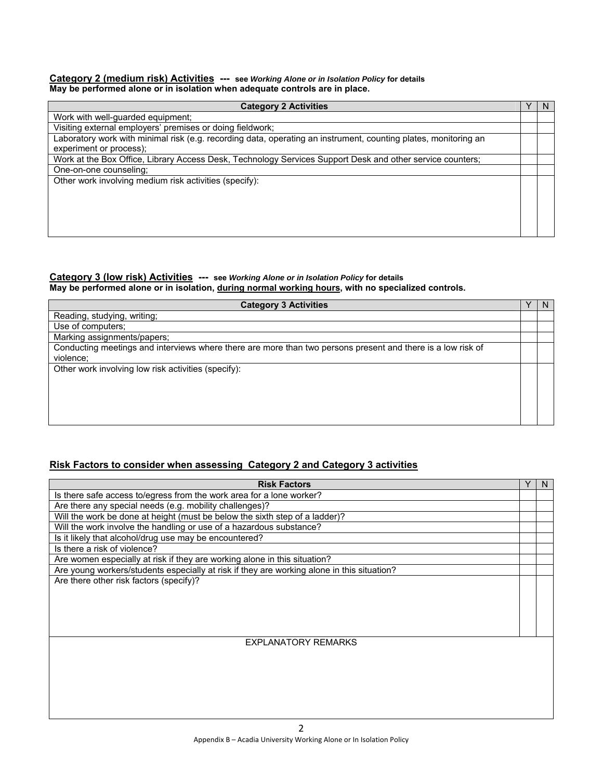#### **Category 2 (medium risk) Activities --- see** *Working Alone or in Isolation Policy* **for details May be performed alone or in isolation when adequate controls are in place.**

| <b>Category 2 Activities</b>                                                                                    | N |
|-----------------------------------------------------------------------------------------------------------------|---|
| Work with well-guarded equipment;                                                                               |   |
| Visiting external employers' premises or doing fieldwork;                                                       |   |
| Laboratory work with minimal risk (e.g. recording data, operating an instrument, counting plates, monitoring an |   |
| experiment or process);                                                                                         |   |
| Work at the Box Office, Library Access Desk, Technology Services Support Desk and other service counters;       |   |
| One-on-one counseling;                                                                                          |   |
| Other work involving medium risk activities (specify):                                                          |   |
|                                                                                                                 |   |
|                                                                                                                 |   |
|                                                                                                                 |   |
|                                                                                                                 |   |
|                                                                                                                 |   |

#### **Category 3 (low risk) Activities --- see** *Working Alone or in Isolation Policy* **for details May be performed alone or in isolation, during normal working hours, with no specialized controls.**

| <b>Category 3 Activities</b>                                                                                | <sub>N</sub> |
|-------------------------------------------------------------------------------------------------------------|--------------|
| Reading, studying, writing;                                                                                 |              |
| Use of computers;                                                                                           |              |
| Marking assignments/papers;                                                                                 |              |
| Conducting meetings and interviews where there are more than two persons present and there is a low risk of |              |
| violence;                                                                                                   |              |
| Other work involving low risk activities (specify):                                                         |              |
|                                                                                                             |              |
|                                                                                                             |              |
|                                                                                                             |              |
|                                                                                                             |              |
|                                                                                                             |              |

# **Risk Factors to consider when assessing Category 2 and Category 3 activities**

| <b>Risk Factors</b>                                                                        | N |
|--------------------------------------------------------------------------------------------|---|
| Is there safe access to/egress from the work area for a lone worker?                       |   |
| Are there any special needs (e.g. mobility challenges)?                                    |   |
| Will the work be done at height (must be below the sixth step of a ladder)?                |   |
| Will the work involve the handling or use of a hazardous substance?                        |   |
| Is it likely that alcohol/drug use may be encountered?                                     |   |
| Is there a risk of violence?                                                               |   |
| Are women especially at risk if they are working alone in this situation?                  |   |
| Are young workers/students especially at risk if they are working alone in this situation? |   |
| Are there other risk factors (specify)?                                                    |   |
|                                                                                            |   |
|                                                                                            |   |
|                                                                                            |   |
|                                                                                            |   |
|                                                                                            |   |
| <b>EXPLANATORY REMARKS</b>                                                                 |   |
|                                                                                            |   |
|                                                                                            |   |
|                                                                                            |   |
|                                                                                            |   |
|                                                                                            |   |
|                                                                                            |   |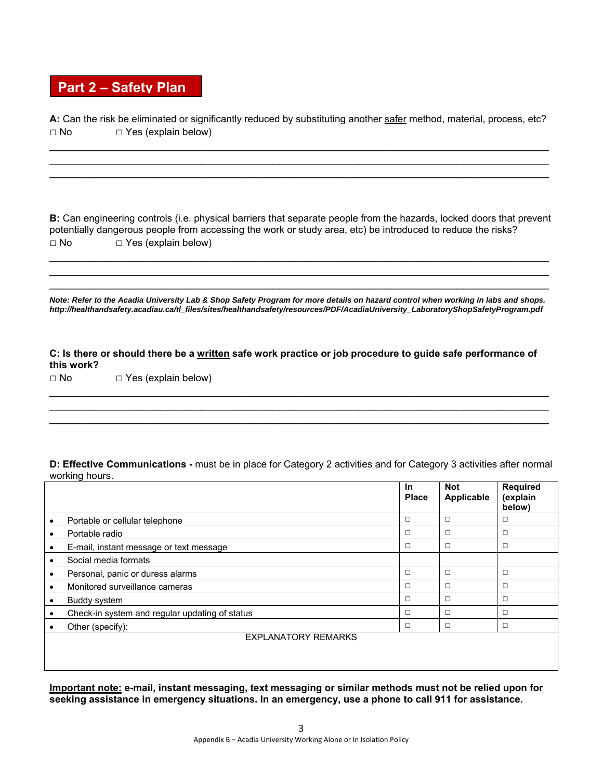# **Part 2 – Safety Plan**

**A:** Can the risk be eliminated or significantly reduced by substituting another safer method, material, process, etc? **□** No **□** Yes (explain below)

\_\_\_\_\_\_\_\_\_\_\_\_\_\_\_\_\_\_\_\_\_\_\_\_\_\_\_\_\_\_\_\_\_\_\_\_\_\_\_\_\_\_\_\_\_\_\_\_\_\_\_\_\_\_\_\_\_\_\_\_\_\_\_\_\_\_\_\_\_\_\_\_\_\_\_\_ \_\_\_\_\_\_\_\_\_\_\_\_\_\_\_\_\_\_\_\_\_\_\_\_\_\_\_\_\_\_\_\_\_\_\_\_\_\_\_\_\_\_\_\_\_\_\_\_\_\_\_\_\_\_\_\_\_\_\_\_\_\_\_\_\_\_\_\_\_\_\_\_\_\_\_\_ \_\_\_\_\_\_\_\_\_\_\_\_\_\_\_\_\_\_\_\_\_\_\_\_\_\_\_\_\_\_\_\_\_\_\_\_\_\_\_\_\_\_\_\_\_\_\_\_\_\_\_\_\_\_\_\_\_\_\_\_\_\_\_\_\_\_\_\_\_\_\_\_\_\_\_\_

**B:** Can engineering controls (i.e. physical barriers that separate people from the hazards, locked doors that prevent potentially dangerous people from accessing the work or study area, etc) be introduced to reduce the risks? **□** No **□** Yes (explain below)

 $\_$  $\_$ \_\_\_\_\_\_\_\_\_\_\_\_\_\_\_\_\_\_\_\_\_\_\_\_\_\_\_\_\_\_\_\_\_\_\_\_\_\_\_\_\_\_\_\_\_\_\_\_\_\_\_\_\_\_\_\_\_\_\_\_\_\_\_\_\_\_\_\_\_\_\_\_\_\_\_\_

*Note: Refer to the Acadia University Lab & Shop Safety Program for more details on hazard control when working in labs and shops. http://healthandsafety.acadiau.ca/tl\_files/sites/healthandsafety/resources/PDF/AcadiaUniversity\_LaboratoryShopSafetyProgram.pdf* 

**C: Is there or should there be a written safe work practice or job procedure to guide safe performance of this work?** 

\_\_\_\_\_\_\_\_\_\_\_\_\_\_\_\_\_\_\_\_\_\_\_\_\_\_\_\_\_\_\_\_\_\_\_\_\_\_\_\_\_\_\_\_\_\_\_\_\_\_\_\_\_\_\_\_\_\_\_\_\_\_\_\_\_\_\_\_\_\_\_\_\_\_\_\_ \_\_\_\_\_\_\_\_\_\_\_\_\_\_\_\_\_\_\_\_\_\_\_\_\_\_\_\_\_\_\_\_\_\_\_\_\_\_\_\_\_\_\_\_\_\_\_\_\_\_\_\_\_\_\_\_\_\_\_\_\_\_\_\_\_\_\_\_\_\_\_\_\_\_\_\_ \_\_\_\_\_\_\_\_\_\_\_\_\_\_\_\_\_\_\_\_\_\_\_\_\_\_\_\_\_\_\_\_\_\_\_\_\_\_\_\_\_\_\_\_\_\_\_\_\_\_\_\_\_\_\_\_\_\_\_\_\_\_\_\_\_\_\_\_\_\_\_\_\_\_\_\_

**□** No **□** Yes (explain below)

**D: Effective Communications -** must be in place for Category 2 activities and for Category 3 activities after normal working hours.

|   |                                                | <b>In</b><br><b>Place</b> | <b>Not</b><br>Applicable | <b>Required</b><br>(explain<br>below) |
|---|------------------------------------------------|---------------------------|--------------------------|---------------------------------------|
|   | Portable or cellular telephone                 | $\Box$                    | $\Box$                   | □                                     |
| ٠ | Portable radio                                 | $\Box$                    | $\Box$                   | □                                     |
|   | E-mail, instant message or text message        | $\Box$                    | $\Box$                   | $\Box$                                |
|   | Social media formats                           |                           |                          |                                       |
|   | Personal, panic or duress alarms               | $\Box$                    | $\Box$                   | □                                     |
|   | Monitored surveillance cameras                 | $\Box$                    | $\Box$                   | □                                     |
| ٠ | Buddy system                                   | $\Box$                    | $\Box$                   | $\Box$                                |
| ٠ | Check-in system and regular updating of status | $\Box$                    | $\Box$                   | □                                     |
|   | Other (specify):                               | $\Box$                    | $\Box$                   | □                                     |
|   | <b>EXPLANATORY REMARKS</b>                     |                           |                          |                                       |
|   |                                                |                           |                          |                                       |

**Important note: e-mail, instant messaging, text messaging or similar methods must not be relied upon for seeking assistance in emergency situations. In an emergency, use a phone to call 911 for assistance.**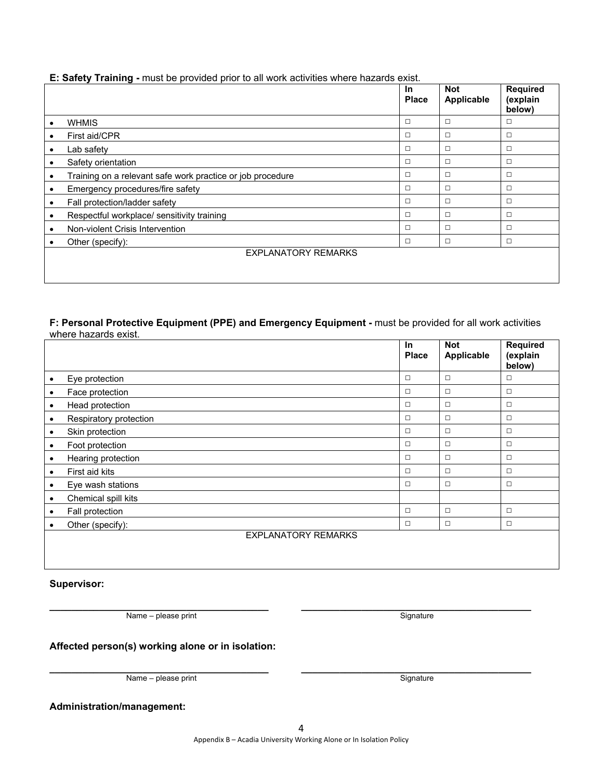# EXPLANATORY REMARKS

# **Supervisor:**

**\_\_\_\_\_\_\_\_\_\_\_\_\_\_\_\_\_\_\_\_\_\_\_\_\_\_\_\_\_\_\_\_\_\_\_\_\_\_\_\_ \_\_\_\_\_\_\_\_\_\_\_\_\_\_\_\_\_\_\_\_\_\_\_\_\_\_\_\_\_\_\_\_\_\_\_\_\_\_\_\_\_\_**  Name – please print Signature

# **Affected person(s) working alone or in isolation:**

Name – please print Signature Signature

# **Administration/management:**

#### **E: Safety Training -** must be provided prior to all work activities where hazards exist.

|           |                                                            | <b>In</b><br><b>Place</b> | <b>Not</b><br>Applicable | Required<br>(explain<br>below) |
|-----------|------------------------------------------------------------|---------------------------|--------------------------|--------------------------------|
| $\bullet$ | <b>WHMIS</b>                                               | $\Box$                    | □                        | □                              |
| ٠         | First aid/CPR                                              | $\Box$                    | $\Box$                   | $\Box$                         |
| ٠         | Lab safety                                                 | $\Box$                    | □                        | □                              |
| ٠         | Safety orientation                                         | $\Box$                    | $\Box$                   | $\Box$                         |
| $\bullet$ | Training on a relevant safe work practice or job procedure | $\Box$                    | $\Box$                   | □                              |
| $\bullet$ | Emergency procedures/fire safety                           | $\Box$                    | $\Box$                   | □                              |
| $\bullet$ | Fall protection/ladder safety                              | $\Box$                    | $\Box$                   | □                              |
| $\bullet$ | Respectful workplace/ sensitivity training                 | $\Box$                    | $\Box$                   | □                              |
| $\bullet$ | Non-violent Crisis Intervention                            | $\Box$                    | $\Box$                   | $\Box$                         |
| $\bullet$ | Other (specify):                                           | $\Box$                    | $\Box$                   | $\Box$                         |
|           | <b>EXPLANATORY REMARKS</b>                                 |                           |                          |                                |

#### **F: Personal Protective Equipment (PPE) and Emergency Equipment -** must be provided for all work activities where hazards exist.

|           |                            | <b>In</b><br><b>Place</b> | <b>Not</b><br>Applicable | <b>Required</b><br>(explain<br>below) |
|-----------|----------------------------|---------------------------|--------------------------|---------------------------------------|
| ٠         | Eye protection             | $\Box$                    | $\Box$                   | $\Box$                                |
| $\bullet$ | Face protection            | $\Box$                    | $\Box$                   | $\Box$                                |
| $\bullet$ | Head protection            | $\Box$                    | $\Box$                   | $\Box$                                |
| ٠         | Respiratory protection     | $\Box$                    | $\Box$                   | $\Box$                                |
|           | Skin protection            | $\Box$                    | $\Box$                   | $\Box$                                |
| ٠         | Foot protection            | $\Box$                    | $\Box$                   | $\Box$                                |
| $\bullet$ | Hearing protection         | $\Box$                    | $\Box$                   | $\Box$                                |
| $\bullet$ | First aid kits             | $\Box$                    | $\Box$                   | $\Box$                                |
|           | Eye wash stations          | $\Box$                    | $\Box$                   | $\Box$                                |
| $\bullet$ | Chemical spill kits        |                           |                          |                                       |
| $\bullet$ | Fall protection            | $\Box$                    | $\Box$                   | $\Box$                                |
| ٠         | Other (specify):           | $\Box$                    | $\Box$                   | $\Box$                                |
|           | <b>EXPLANATORY REMARKS</b> |                           |                          |                                       |

**\_\_\_\_\_\_\_\_\_\_\_\_\_\_\_\_\_\_\_\_\_\_\_\_\_\_\_\_\_\_\_\_\_\_\_\_\_\_\_\_ \_\_\_\_\_\_\_\_\_\_\_\_\_\_\_\_\_\_\_\_\_\_\_\_\_\_\_\_\_\_\_\_\_\_\_\_\_\_\_\_\_\_**